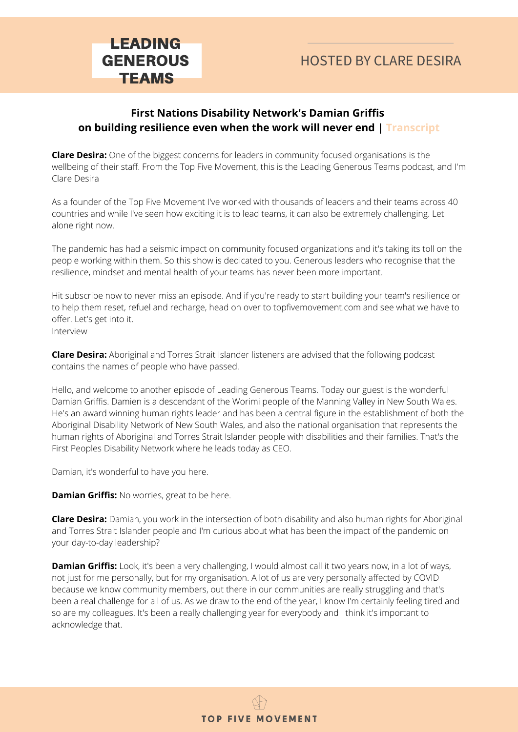#### **First Nations Disability Network's Damian Griffis on building resilience even when the work will never end | Transcript**

**Clare Desira:** One of the biggest concerns for leaders in community focused organisations is the wellbeing of their staff. From the Top Five Movement, this is the Leading Generous Teams podcast, and I'm Clare Desira

As a founder of the Top Five Movement I've worked with thousands of leaders and their teams across 40 countries and while I've seen how exciting it is to lead teams, it can also be extremely challenging. Let alone right now.

The pandemic has had a seismic impact on community focused organizations and it's taking its toll on the people working within them. So this show is dedicated to you. Generous leaders who recognise that the resilience, mindset and mental health of your teams has never been more important.

Hit subscribe now to never miss an episode. And if you're ready to start building your team's resilience or to help them reset, refuel and recharge, head on over to topfivemovement.com and see what we have to offer. Let's get into it. Interview

**Clare Desira:** Aboriginal and Torres Strait Islander listeners are advised that the following podcast contains the names of people who have passed.

Hello, and welcome to another episode of Leading Generous Teams. Today our guest is the wonderful Damian Griffis. Damien is a descendant of the Worimi people of the Manning Valley in New South Wales. He's an award winning human rights leader and has been a central figure in the establishment of both the Aboriginal Disability Network of New South Wales, and also the national organisation that represents the human rights of Aboriginal and Torres Strait Islander people with disabilities and their families. That's the First Peoples Disability Network where he leads today as CEO.

Damian, it's wonderful to have you here.

**Damian Griffis:** No worries, great to be here.

**Clare Desira:** Damian, you work in the intersection of both disability and also human rights for Aboriginal and Torres Strait Islander people and I'm curious about what has been the impact of the pandemic on your day-to-day leadership?

**Damian Griffis:** Look, it's been a very challenging, I would almost call it two years now, in a lot of ways, not just for me personally, but for my organisation. A lot of us are very personally affected by COVID because we know community members, out there in our communities are really struggling and that's been a real challenge for all of us. As we draw to the end of the year, I know I'm certainly feeling tired and so are my colleagues. It's been a really challenging year for everybody and I think it's important to acknowledge that.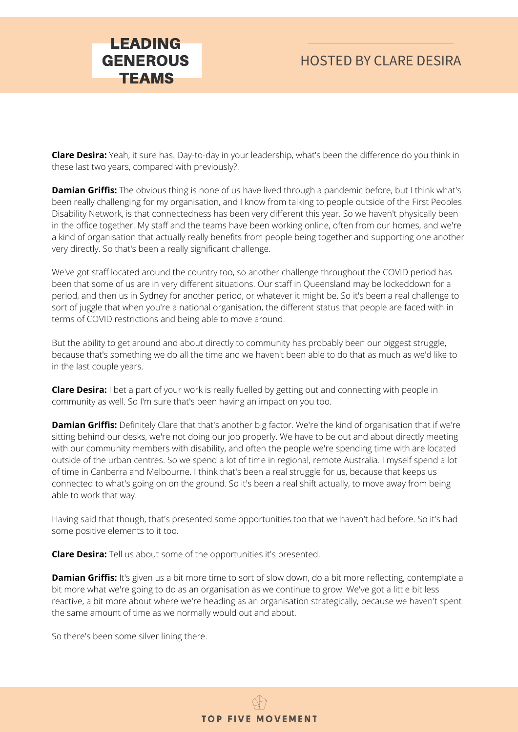**Clare Desira:** Yeah, it sure has. Day-to-day in your leadership, what's been the difference do you think in these last two years, compared with previously?.

LEADING GENEROUS **TEAMS** 

**Damian Griffis:** The obvious thing is none of us have lived through a pandemic before, but I think what's been really challenging for my organisation, and I know from talking to people outside of the First Peoples Disability Network, is that connectedness has been very different this year. So we haven't physically been in the office together. My staff and the teams have been working online, often from our homes, and we're a kind of organisation that actually really benefits from people being together and supporting one another very directly. So that's been a really significant challenge.

We've got staff located around the country too, so another challenge throughout the COVID period has been that some of us are in very different situations. Our staff in Queensland may be lockeddown for a period, and then us in Sydney for another period, or whatever it might be. So it's been a real challenge to sort of juggle that when you're a national organisation, the different status that people are faced with in terms of COVID restrictions and being able to move around.

But the ability to get around and about directly to community has probably been our biggest struggle, because that's something we do all the time and we haven't been able to do that as much as we'd like to in the last couple years.

**Clare Desira:** I bet a part of your work is really fuelled by getting out and connecting with people in community as well. So I'm sure that's been having an impact on you too.

**Damian Griffis:** Definitely Clare that that's another big factor. We're the kind of organisation that if we're sitting behind our desks, we're not doing our job properly. We have to be out and about directly meeting with our community members with disability, and often the people we're spending time with are located outside of the urban centres. So we spend a lot of time in regional, remote Australia. I myself spend a lot of time in Canberra and Melbourne. I think that's been a real struggle for us, because that keeps us connected to what's going on on the ground. So it's been a real shift actually, to move away from being able to work that way.

Having said that though, that's presented some opportunities too that we haven't had before. So it's had some positive elements to it too.

**Clare Desira:** Tell us about some of the opportunities it's presented.

**Damian Griffis:** It's given us a bit more time to sort of slow down, do a bit more reflecting, contemplate a bit more what we're going to do as an organisation as we continue to grow. We've got a little bit less reactive, a bit more about where we're heading as an organisation strategically, because we haven't spent the same amount of time as we normally would out and about.

So there's been some silver lining there.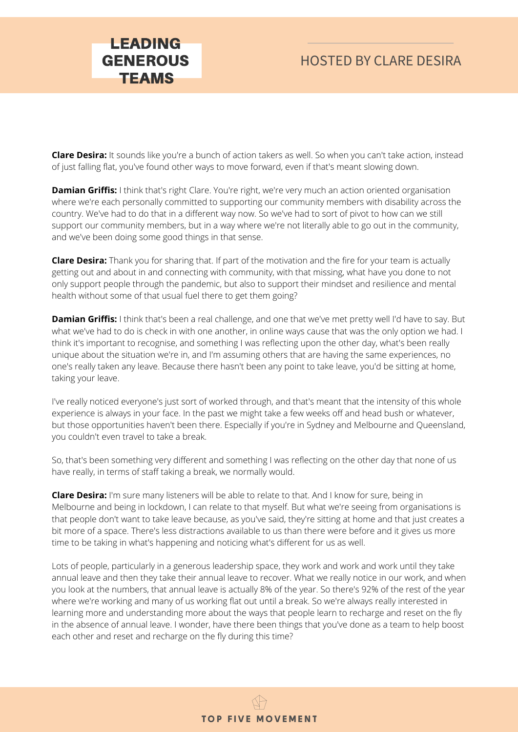**Clare Desira:** It sounds like you're a bunch of action takers as well. So when you can't take action, instead of just falling flat, you've found other ways to move forward, even if that's meant slowing down.

LEADING GENEROUS **TEAMS** 

**Damian Griffis:** I think that's right Clare. You're right, we're very much an action oriented organisation where we're each personally committed to supporting our community members with disability across the country. We've had to do that in a different way now. So we've had to sort of pivot to how can we still support our community members, but in a way where we're not literally able to go out in the community, and we've been doing some good things in that sense.

**Clare Desira:** Thank you for sharing that. If part of the motivation and the fire for your team is actually getting out and about in and connecting with community, with that missing, what have you done to not only support people through the pandemic, but also to support their mindset and resilience and mental health without some of that usual fuel there to get them going?

**Damian Griffis:** I think that's been a real challenge, and one that we've met pretty well I'd have to say. But what we've had to do is check in with one another, in online ways cause that was the only option we had. I think it's important to recognise, and something I was reflecting upon the other day, what's been really unique about the situation we're in, and I'm assuming others that are having the same experiences, no one's really taken any leave. Because there hasn't been any point to take leave, you'd be sitting at home, taking your leave.

I've really noticed everyone's just sort of worked through, and that's meant that the intensity of this whole experience is always in your face. In the past we might take a few weeks off and head bush or whatever, but those opportunities haven't been there. Especially if you're in Sydney and Melbourne and Queensland, you couldn't even travel to take a break.

So, that's been something very different and something I was reflecting on the other day that none of us have really, in terms of staff taking a break, we normally would.

**Clare Desira:** I'm sure many listeners will be able to relate to that. And I know for sure, being in Melbourne and being in lockdown, I can relate to that myself. But what we're seeing from organisations is that people don't want to take leave because, as you've said, they're sitting at home and that just creates a bit more of a space. There's less distractions available to us than there were before and it gives us more time to be taking in what's happening and noticing what's different for us as well.

Lots of people, particularly in a generous leadership space, they work and work and work until they take annual leave and then they take their annual leave to recover. What we really notice in our work, and when you look at the numbers, that annual leave is actually 8% of the year. So there's 92% of the rest of the year where we're working and many of us working flat out until a break. So we're always really interested in learning more and understanding more about the ways that people learn to recharge and reset on the fly in the absence of annual leave. I wonder, have there been things that you've done as a team to help boost each other and reset and recharge on the fly during this time?

**TOP FIVE MOVEMENT**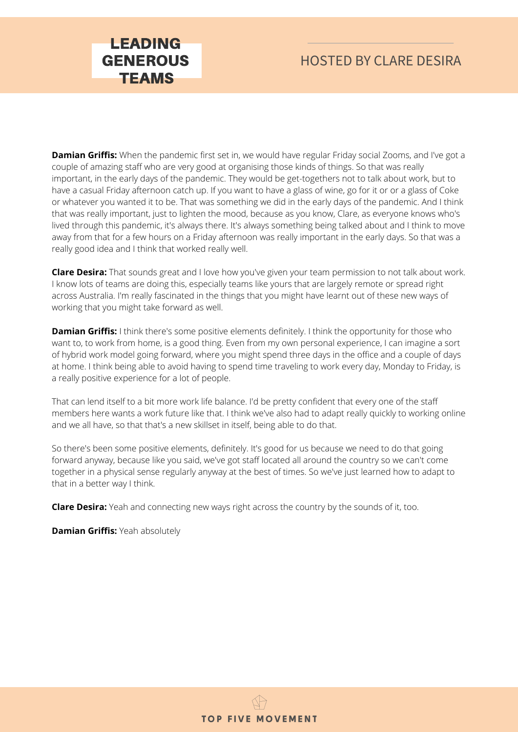

**Damian Griffis:** When the pandemic first set in, we would have regular Friday social Zooms, and I've got a couple of amazing staff who are very good at organising those kinds of things. So that was really important, in the early days of the pandemic. They would be get-togethers not to talk about work, but to have a casual Friday afternoon catch up. If you want to have a glass of wine, go for it or or a glass of Coke or whatever you wanted it to be. That was something we did in the early days of the pandemic. And I think that was really important, just to lighten the mood, because as you know, Clare, as everyone knows who's lived through this pandemic, it's always there. It's always something being talked about and I think to move away from that for a few hours on a Friday afternoon was really important in the early days. So that was a really good idea and I think that worked really well.

**Clare Desira:** That sounds great and I love how you've given your team permission to not talk about work. I know lots of teams are doing this, especially teams like yours that are largely remote or spread right across Australia. I'm really fascinated in the things that you might have learnt out of these new ways of working that you might take forward as well.

**Damian Griffis:** I think there's some positive elements definitely. I think the opportunity for those who want to, to work from home, is a good thing. Even from my own personal experience, I can imagine a sort of hybrid work model going forward, where you might spend three days in the office and a couple of days at home. I think being able to avoid having to spend time traveling to work every day, Monday to Friday, is a really positive experience for a lot of people.

That can lend itself to a bit more work life balance. I'd be pretty confident that every one of the staff members here wants a work future like that. I think we've also had to adapt really quickly to working online and we all have, so that that's a new skillset in itself, being able to do that.

So there's been some positive elements, definitely. It's good for us because we need to do that going forward anyway, because like you said, we've got staff located all around the country so we can't come together in a physical sense regularly anyway at the best of times. So we've just learned how to adapt to that in a better way I think.

**Clare Desira:** Yeah and connecting new ways right across the country by the sounds of it, too.

**Damian Griffis:** Yeah absolutely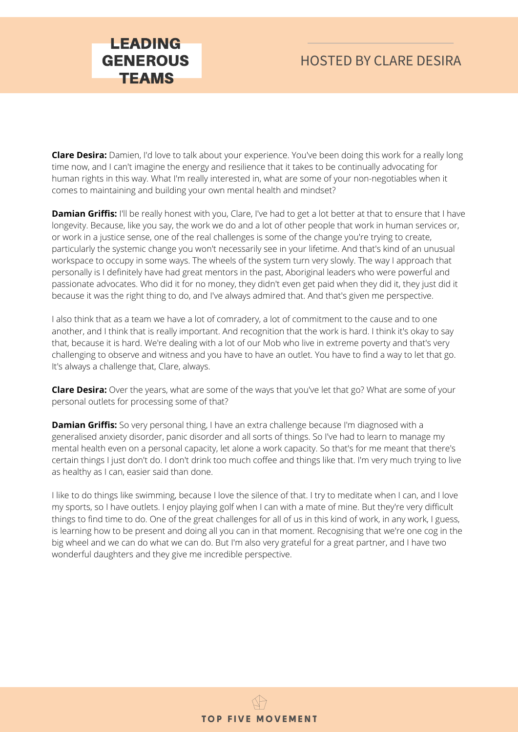#### HOSTED BY CLARE DESIRA

**Clare Desira:** Damien, I'd love to talk about your experience. You've been doing this work for a really long time now, and I can't imagine the energy and resilience that it takes to be continually advocating for human rights in this way. What I'm really interested in, what are some of your non-negotiables when it comes to maintaining and building your own mental health and mindset?

**Damian Griffis:** I'll be really honest with you, Clare, I've had to get a lot better at that to ensure that I have longevity. Because, like you say, the work we do and a lot of other people that work in human services or, or work in a justice sense, one of the real challenges is some of the change you're trying to create, particularly the systemic change you won't necessarily see in your lifetime. And that's kind of an unusual workspace to occupy in some ways. The wheels of the system turn very slowly. The way I approach that personally is I definitely have had great mentors in the past, Aboriginal leaders who were powerful and passionate advocates. Who did it for no money, they didn't even get paid when they did it, they just did it because it was the right thing to do, and I've always admired that. And that's given me perspective.

I also think that as a team we have a lot of comradery, a lot of commitment to the cause and to one another, and I think that is really important. And recognition that the work is hard. I think it's okay to say that, because it is hard. We're dealing with a lot of our Mob who live in extreme poverty and that's very challenging to observe and witness and you have to have an outlet. You have to find a way to let that go. It's always a challenge that, Clare, always.

**Clare Desira:** Over the years, what are some of the ways that you've let that go? What are some of your personal outlets for processing some of that?

**Damian Griffis:** So very personal thing, I have an extra challenge because I'm diagnosed with a generalised anxiety disorder, panic disorder and all sorts of things. So I've had to learn to manage my mental health even on a personal capacity, let alone a work capacity. So that's for me meant that there's certain things I just don't do. I don't drink too much coffee and things like that. I'm very much trying to live as healthy as I can, easier said than done.

I like to do things like swimming, because I love the silence of that. I try to meditate when I can, and I love my sports, so I have outlets. I enjoy playing golf when I can with a mate of mine. But they're very difficult things to find time to do. One of the great challenges for all of us in this kind of work, in any work, I guess, is learning how to be present and doing all you can in that moment. Recognising that we're one cog in the big wheel and we can do what we can do. But I'm also very grateful for a great partner, and I have two wonderful daughters and they give me incredible perspective.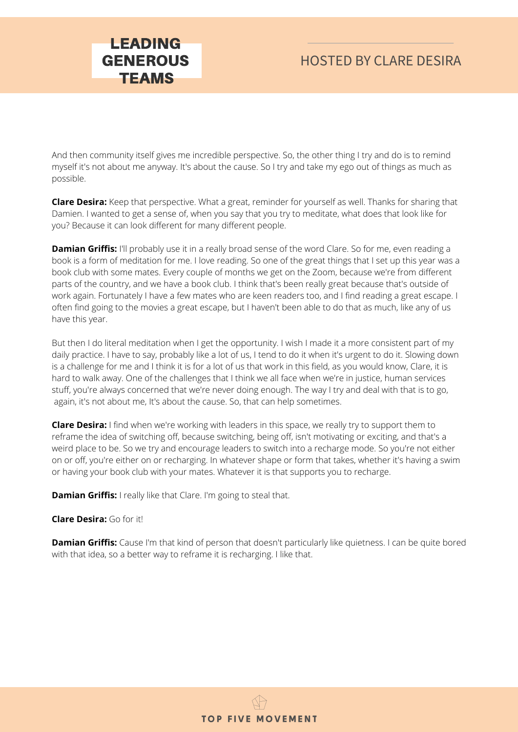And then community itself gives me incredible perspective. So, the other thing I try and do is to remind myself it's not about me anyway. It's about the cause. So I try and take my ego out of things as much as possible.

**Clare Desira:** Keep that perspective. What a great, reminder for yourself as well. Thanks for sharing that Damien. I wanted to get a sense of, when you say that you try to meditate, what does that look like for you? Because it can look different for many different people.

**Damian Griffis:** I'll probably use it in a really broad sense of the word Clare. So for me, even reading a book is a form of meditation for me. I love reading. So one of the great things that I set up this year was a book club with some mates. Every couple of months we get on the Zoom, because we're from different parts of the country, and we have a book club. I think that's been really great because that's outside of work again. Fortunately I have a few mates who are keen readers too, and I find reading a great escape. I often find going to the movies a great escape, but I haven't been able to do that as much, like any of us have this year.

But then I do literal meditation when I get the opportunity. I wish I made it a more consistent part of my daily practice. I have to say, probably like a lot of us, I tend to do it when it's urgent to do it. Slowing down is a challenge for me and I think it is for a lot of us that work in this field, as you would know, Clare, it is hard to walk away. One of the challenges that I think we all face when we're in justice, human services stuff, you're always concerned that we're never doing enough. The way I try and deal with that is to go, again, it's not about me, It's about the cause. So, that can help sometimes.

**Clare Desira:** I find when we're working with leaders in this space, we really try to support them to reframe the idea of switching off, because switching, being off, isn't motivating or exciting, and that's a weird place to be. So we try and encourage leaders to switch into a recharge mode. So you're not either on or off, you're either on or recharging. In whatever shape or form that takes, whether it's having a swim or having your book club with your mates. Whatever it is that supports you to recharge.

**Damian Griffis:** I really like that Clare. I'm going to steal that.

LEADING GENEROUS **TEAMS** 

#### **Clare Desira:** Go for it!

**Damian Griffis:** Cause I'm that kind of person that doesn't particularly like quietness. I can be quite bored with that idea, so a better way to reframe it is recharging. I like that.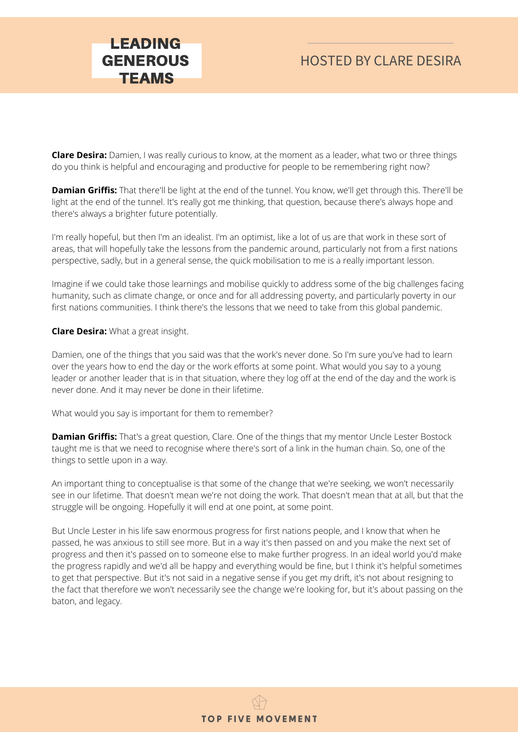# HOSTED BY CLARE DESIRA

**Clare Desira:** Damien, I was really curious to know, at the moment as a leader, what two or three things do you think is helpful and encouraging and productive for people to be remembering right now?

**Damian Griffis:** That there'll be light at the end of the tunnel. You know, we'll get through this. There'll be light at the end of the tunnel. It's really got me thinking, that question, because there's always hope and there's always a brighter future potentially.

I'm really hopeful, but then I'm an idealist. I'm an optimist, like a lot of us are that work in these sort of areas, that will hopefully take the lessons from the pandemic around, particularly not from a first nations perspective, sadly, but in a general sense, the quick mobilisation to me is a really important lesson.

Imagine if we could take those learnings and mobilise quickly to address some of the big challenges facing humanity, such as climate change, or once and for all addressing poverty, and particularly poverty in our first nations communities. I think there's the lessons that we need to take from this global pandemic.

#### **Clare Desira:** What a great insight.

Damien, one of the things that you said was that the work's never done. So I'm sure you've had to learn over the years how to end the day or the work efforts at some point. What would you say to a young leader or another leader that is in that situation, where they log off at the end of the day and the work is never done. And it may never be done in their lifetime.

What would you say is important for them to remember?

**Damian Griffis:** That's a great question, Clare. One of the things that my mentor Uncle Lester Bostock taught me is that we need to recognise where there's sort of a link in the human chain. So, one of the things to settle upon in a way.

An important thing to conceptualise is that some of the change that we're seeking, we won't necessarily see in our lifetime. That doesn't mean we're not doing the work. That doesn't mean that at all, but that the struggle will be ongoing. Hopefully it will end at one point, at some point.

But Uncle Lester in his life saw enormous progress for first nations people, and I know that when he passed, he was anxious to still see more. But in a way it's then passed on and you make the next set of progress and then it's passed on to someone else to make further progress. In an ideal world you'd make the progress rapidly and we'd all be happy and everything would be fine, but I think it's helpful sometimes to get that perspective. But it's not said in a negative sense if you get my drift, it's not about resigning to the fact that therefore we won't necessarily see the change we're looking for, but it's about passing on the baton, and legacy.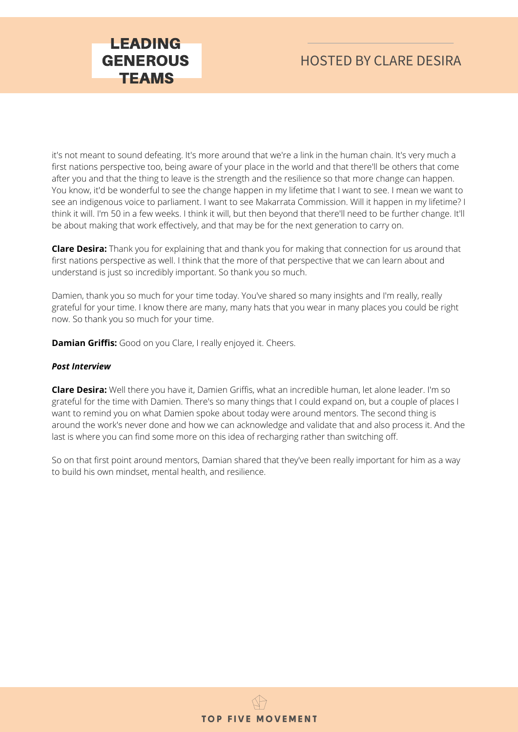# HOSTED BY CLARE DESIRA

it's not meant to sound defeating. It's more around that we're a link in the human chain. It's very much a first nations perspective too, being aware of your place in the world and that there'll be others that come after you and that the thing to leave is the strength and the resilience so that more change can happen. You know, it'd be wonderful to see the change happen in my lifetime that I want to see. I mean we want to see an indigenous voice to parliament. I want to see Makarrata Commission. Will it happen in my lifetime? I think it will. I'm 50 in a few weeks. I think it will, but then beyond that there'll need to be further change. It'll be about making that work effectively, and that may be for the next generation to carry on.

**Clare Desira:** Thank you for explaining that and thank you for making that connection for us around that first nations perspective as well. I think that the more of that perspective that we can learn about and understand is just so incredibly important. So thank you so much.

Damien, thank you so much for your time today. You've shared so many insights and I'm really, really grateful for your time. I know there are many, many hats that you wear in many places you could be right now. So thank you so much for your time.

**Damian Griffis:** Good on you Clare, I really enjoyed it. Cheers.

#### *Post Interview*

**Clare Desira:** Well there you have it, Damien Griffis, what an incredible human, let alone leader. I'm so grateful for the time with Damien. There's so many things that I could expand on, but a couple of places I want to remind you on what Damien spoke about today were around mentors. The second thing is around the work's never done and how we can acknowledge and validate that and also process it. And the last is where you can find some more on this idea of recharging rather than switching off.

So on that first point around mentors, Damian shared that they've been really important for him as a way to build his own mindset, mental health, and resilience.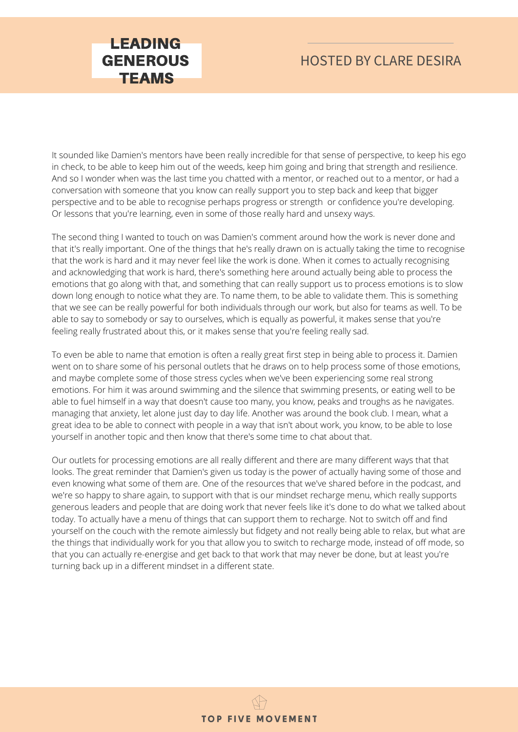#### HOSTED BY CLARE DESIRA

It sounded like Damien's mentors have been really incredible for that sense of perspective, to keep his ego in check, to be able to keep him out of the weeds, keep him going and bring that strength and resilience. And so I wonder when was the last time you chatted with a mentor, or reached out to a mentor, or had a conversation with someone that you know can really support you to step back and keep that bigger perspective and to be able to recognise perhaps progress or strength or confidence you're developing. Or lessons that you're learning, even in some of those really hard and unsexy ways.

The second thing I wanted to touch on was Damien's comment around how the work is never done and that it's really important. One of the things that he's really drawn on is actually taking the time to recognise that the work is hard and it may never feel like the work is done. When it comes to actually recognising and acknowledging that work is hard, there's something here around actually being able to process the emotions that go along with that, and something that can really support us to process emotions is to slow down long enough to notice what they are. To name them, to be able to validate them. This is something that we see can be really powerful for both individuals through our work, but also for teams as well. To be able to say to somebody or say to ourselves, which is equally as powerful, it makes sense that you're feeling really frustrated about this, or it makes sense that you're feeling really sad.

To even be able to name that emotion is often a really great first step in being able to process it. Damien went on to share some of his personal outlets that he draws on to help process some of those emotions, and maybe complete some of those stress cycles when we've been experiencing some real strong emotions. For him it was around swimming and the silence that swimming presents, or eating well to be able to fuel himself in a way that doesn't cause too many, you know, peaks and troughs as he navigates. managing that anxiety, let alone just day to day life. Another was around the book club. I mean, what a great idea to be able to connect with people in a way that isn't about work, you know, to be able to lose yourself in another topic and then know that there's some time to chat about that.

Our outlets for processing emotions are all really different and there are many different ways that that looks. The great reminder that Damien's given us today is the power of actually having some of those and even knowing what some of them are. One of the resources that we've shared before in the podcast, and we're so happy to share again, to support with that is our mindset recharge menu, which really supports generous leaders and people that are doing work that never feels like it's done to do what we talked about today. To actually have a menu of things that can support them to recharge. Not to switch off and find yourself on the couch with the remote aimlessly but fidgety and not really being able to relax, but what are the things that individually work for you that allow you to switch to recharge mode, instead of off mode, so that you can actually re-energise and get back to that work that may never be done, but at least you're turning back up in a different mindset in a different state.